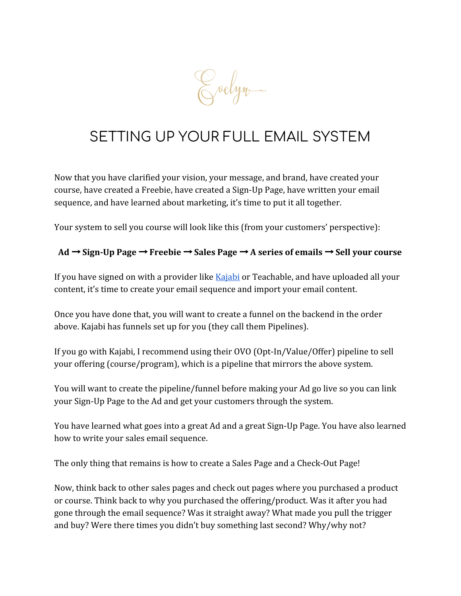Evelyn.

# SETTING UP YOUR FULL EMAIL SYSTEM

Now that you have clarified your vision, your message, and brand, have created your course, have created a Freebie, have created a Sign-Up Page, have written your email sequence, and have learned about marketing, it's time to put it all together.

Your system to sell you course will look like this (from your customers' perspective):

#### **Ad** → **Sign-Up Page** → **Freebie** → **Sales Page** → **A series of emails** → **Sell your course**

If you have signed on with a provider like **Kajabi** or Teachable, and have uploaded all your content, it's time to create your email sequence and import your email content.

Once you have done that, you will want to create a funnel on the backend in the order above. Kajabi has funnels set up for you (they call them Pipelines).

If you go with Kajabi, I recommend using their OVO (Opt-In/Value/Offer) pipeline to sell your offering (course/program), which is a pipeline that mirrors the above system.

You will want to create the pipeline/funnel before making your Ad go live so you can link your Sign-Up Page to the Ad and get your customers through the system.

You have learned what goes into a great Ad and a great Sign-Up Page. You have also learned how to write your sales email sequence.

The only thing that remains is how to create a Sales Page and a Check-Out Page!

Now, think back to other sales pages and check out pages where you purchased a product or course. Think back to why you purchased the offering/product. Was it after you had gone through the email sequence? Was it straight away? What made you pull the trigger and buy? Were there times you didn't buy something last second? Why/why not?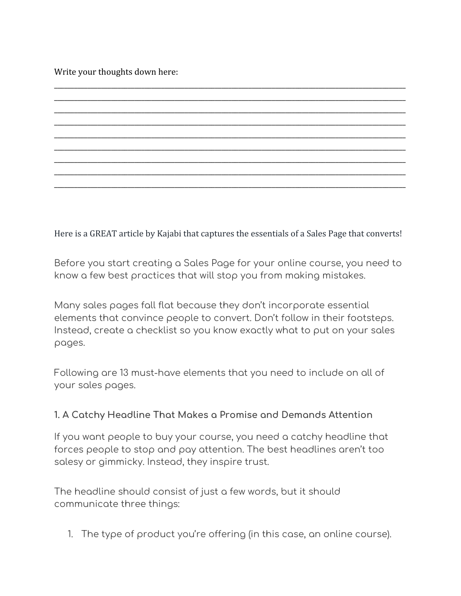Write your thoughts down here:

Here is a GREAT article by Kajabi that captures the essentials of a Sales Page that converts!

\_\_\_\_\_\_\_\_\_\_\_\_\_\_\_\_\_\_\_\_\_\_\_\_\_\_\_\_\_\_\_\_\_\_\_\_\_\_\_\_\_\_\_\_\_\_\_\_\_\_\_\_\_\_\_\_\_\_\_\_\_\_\_\_\_\_\_\_\_\_\_\_\_\_\_\_\_\_\_\_\_\_\_\_\_\_\_\_\_\_\_\_\_\_\_\_\_\_\_\_\_\_\_\_\_ \_\_\_\_\_\_\_\_\_\_\_\_\_\_\_\_\_\_\_\_\_\_\_\_\_\_\_\_\_\_\_\_\_\_\_\_\_\_\_\_\_\_\_\_\_\_\_\_\_\_\_\_\_\_\_\_\_\_\_\_\_\_\_\_\_\_\_\_\_\_\_\_\_\_\_\_\_\_\_\_\_\_\_\_\_\_\_\_\_\_\_\_\_\_\_\_\_\_\_\_\_\_\_\_\_ \_\_\_\_\_\_\_\_\_\_\_\_\_\_\_\_\_\_\_\_\_\_\_\_\_\_\_\_\_\_\_\_\_\_\_\_\_\_\_\_\_\_\_\_\_\_\_\_\_\_\_\_\_\_\_\_\_\_\_\_\_\_\_\_\_\_\_\_\_\_\_\_\_\_\_\_\_\_\_\_\_\_\_\_\_\_\_\_\_\_\_\_\_\_\_\_\_\_\_\_\_\_\_\_\_ \_\_\_\_\_\_\_\_\_\_\_\_\_\_\_\_\_\_\_\_\_\_\_\_\_\_\_\_\_\_\_\_\_\_\_\_\_\_\_\_\_\_\_\_\_\_\_\_\_\_\_\_\_\_\_\_\_\_\_\_\_\_\_\_\_\_\_\_\_\_\_\_\_\_\_\_\_\_\_\_\_\_\_\_\_\_\_\_\_\_\_\_\_\_\_\_\_\_\_\_\_\_\_\_\_ \_\_\_\_\_\_\_\_\_\_\_\_\_\_\_\_\_\_\_\_\_\_\_\_\_\_\_\_\_\_\_\_\_\_\_\_\_\_\_\_\_\_\_\_\_\_\_\_\_\_\_\_\_\_\_\_\_\_\_\_\_\_\_\_\_\_\_\_\_\_\_\_\_\_\_\_\_\_\_\_\_\_\_\_\_\_\_\_\_\_\_\_\_\_\_\_\_\_\_\_\_\_\_\_\_ \_\_\_\_\_\_\_\_\_\_\_\_\_\_\_\_\_\_\_\_\_\_\_\_\_\_\_\_\_\_\_\_\_\_\_\_\_\_\_\_\_\_\_\_\_\_\_\_\_\_\_\_\_\_\_\_\_\_\_\_\_\_\_\_\_\_\_\_\_\_\_\_\_\_\_\_\_\_\_\_\_\_\_\_\_\_\_\_\_\_\_\_\_\_\_\_\_\_\_\_\_\_\_\_\_ \_\_\_\_\_\_\_\_\_\_\_\_\_\_\_\_\_\_\_\_\_\_\_\_\_\_\_\_\_\_\_\_\_\_\_\_\_\_\_\_\_\_\_\_\_\_\_\_\_\_\_\_\_\_\_\_\_\_\_\_\_\_\_\_\_\_\_\_\_\_\_\_\_\_\_\_\_\_\_\_\_\_\_\_\_\_\_\_\_\_\_\_\_\_\_\_\_\_\_\_\_\_\_\_\_ \_\_\_\_\_\_\_\_\_\_\_\_\_\_\_\_\_\_\_\_\_\_\_\_\_\_\_\_\_\_\_\_\_\_\_\_\_\_\_\_\_\_\_\_\_\_\_\_\_\_\_\_\_\_\_\_\_\_\_\_\_\_\_\_\_\_\_\_\_\_\_\_\_\_\_\_\_\_\_\_\_\_\_\_\_\_\_\_\_\_\_\_\_\_\_\_\_\_\_\_\_\_\_\_\_ \_\_\_\_\_\_\_\_\_\_\_\_\_\_\_\_\_\_\_\_\_\_\_\_\_\_\_\_\_\_\_\_\_\_\_\_\_\_\_\_\_\_\_\_\_\_\_\_\_\_\_\_\_\_\_\_\_\_\_\_\_\_\_\_\_\_\_\_\_\_\_\_\_\_\_\_\_\_\_\_\_\_\_\_\_\_\_\_\_\_\_\_\_\_\_\_\_\_\_\_\_\_\_\_\_

Before you start creating a Sales Page for your online course, you need to know a few best practices that will stop you from making mistakes.

Many sales pages fall flat because they don't incorporate essential elements that convince people to convert. Don't follow in their footsteps. Instead, create a checklist so you know exactly what to put on your sales pages.

Following are 13 must-have elements that you need to include on all of your sales pages.

#### **1. A Catchy Headline That Makes a Promise and Demands Attention**

If you want people to buy your course, you need a catchy headline that forces people to stop and pay attention. The best headlines aren't too salesy or gimmicky. Instead, they inspire trust.

The headline should consist of just a few words, but it should communicate three things:

1. The type of product you're offering (in this case, an online course).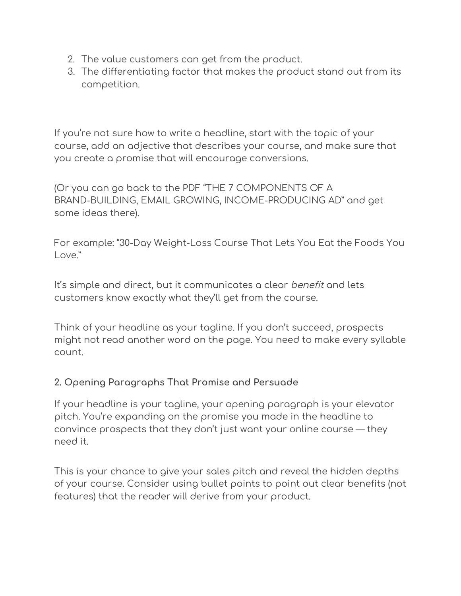- 2. The value customers can get from the product.
- 3. The differentiating factor that makes the product stand out from its competition.

If you're not sure how to write a headline, start with the topic of your course, add an adjective that describes your course, and make sure that you create a promise that will encourage conversions.

(Or you can go back to the PDF "THE 7 COMPONENTS OF A BRAND-BUILDING, EMAIL GROWING, INCOME-PRODUCING AD" and get some ideas there).

For example: "30-Day Weight-Loss Course That Lets You Eat the Foods You Love."

It's simple and direct, but it communicates a clear *benefit* and lets customers know exactly what they'll get from the course.

Think of your headline as your tagline. If you don't succeed, prospects might not read another word on the page. You need to make every syllable count.

### **2. Opening Paragraphs That Promise and Persuade**

If your headline is your tagline, your opening paragraph is your elevator pitch. You're expanding on the promise you made in the headline to convince prospects that they don't just want your online course — they need it.

This is your chance to give your sales pitch and reveal the hidden depths of your course. Consider using bullet points to point out clear benefits (not features) that the reader will derive from your product.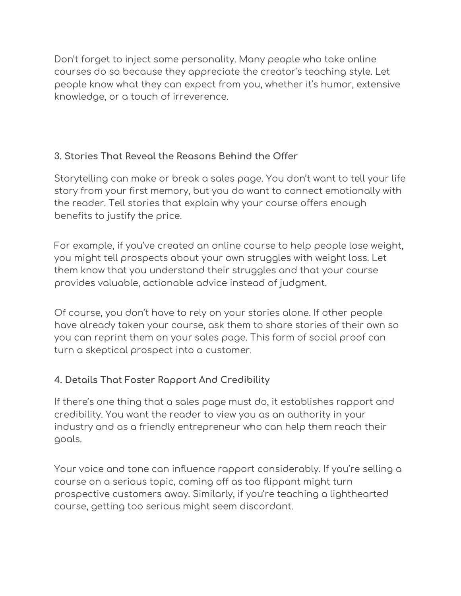Don't forget to inject some personality. Many people who take online courses do so because they appreciate the creator's teaching style. Let people know what they can expect from you, whether it's humor, extensive knowledge, or a touch of irreverence.

## **3. Stories That Reveal the Reasons Behind the Offer**

Storytelling can make or break a sales page. You don't want to tell your life story from your first memory, but you do want to connect emotionally with the reader. Tell stories that explain why your course offers enough benefits to justify the price.

For example, if you've created an online course to help people lose weight, you might tell prospects about your own struggles with weight loss. Let them know that you understand their struggles and that your course provides valuable, actionable advice instead of judgment.

Of course, you don't have to rely on your stories alone. If other people have already taken your course, ask them to share stories of their own so you can reprint them on your sales page. This form of social proof can turn a skeptical prospect into a customer.

## **4. Details That Foster Rapport And Credibility**

If there's one thing that a sales page must do, it establishes rapport and credibility. You want the reader to view you as an authority in your industry and as a friendly entrepreneur who can help them reach their goals.

Your voice and tone can influence rapport considerably. If you're selling a course on a serious topic, coming off as too flippant might turn prospective customers away. Similarly, if you're teaching a lighthearted course, getting too serious might seem discordant.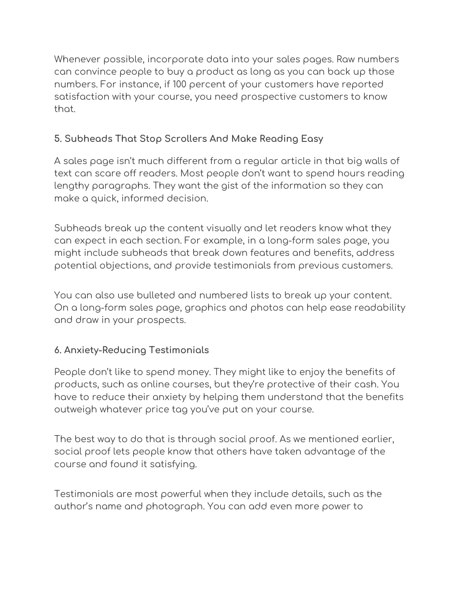Whenever possible, incorporate data into your sales pages. Raw numbers can convince people to buy a product as long as you can back up those numbers. For instance, if 100 percent of your customers have reported satisfaction with your course, you need prospective customers to know that.

## **5. Subheads That Stop Scrollers And Make Reading Easy**

A sales page isn't much different from a regular article in that big walls of text can scare off readers. Most people don't want to spend hours reading lengthy paragraphs. They want the gist of the information so they can make a quick, informed decision.

Subheads break up the content visually and let readers know what they can expect in each section. For example, in a long-form sales page, you might include subheads that break down features and benefits, address potential objections, and provide testimonials from previous customers.

You can also use bulleted and numbered lists to break up your content. On a long-form sales page, graphics and photos can help ease readability and draw in your prospects.

## **6. Anxiety-Reducing Testimonials**

People don't like to spend money. They might like to enjoy the benefits of products, such as online courses, but they're protective of their cash. You have to reduce their anxiety by helping them understand that the benefits outweigh whatever price tag you've put on your course.

The best way to do that is through social proof. As we mentioned earlier, social proof lets people know that others have taken advantage of the course and found it satisfying.

Testimonials are most powerful when they include details, such as the author's name and photograph. You can add even more power to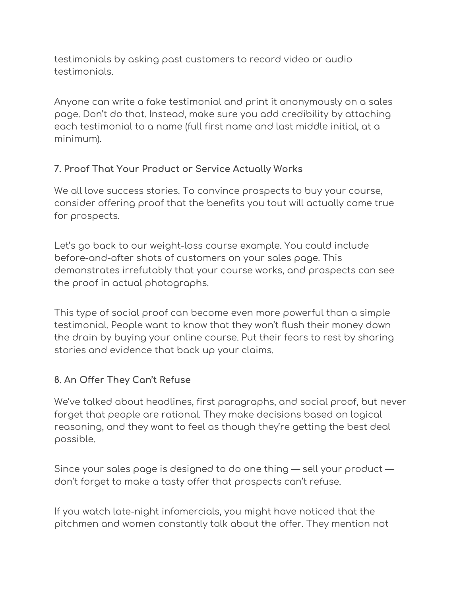testimonials by asking past customers to record video or audio testimonials.

Anyone can write a fake testimonial and print it anonymously on a sales page. Don't do that. Instead, make sure you add credibility by attaching each testimonial to a name (full first name and last middle initial, at a minimum).

## **7. Proof That Your Product or Service Actually Works**

We all love success stories. To convince prospects to buy your course, consider offering proof that the benefits you tout will actually come true for prospects.

Let's go back to our weight-loss course example. You could include before-and-after shots of customers on your sales page. This demonstrates irrefutably that your course works, and prospects can see the proof in actual photographs.

This type of social proof can become even more powerful than a simple testimonial. People want to know that they won't flush their money down the drain by buying your online course. Put their fears to rest by sharing stories and evidence that back up your claims.

### **8. An Offer They Can't Refuse**

We've talked about headlines, first paragraphs, and social proof, but never forget that people are rational. They make decisions based on logical reasoning, and they want to feel as though they're getting the best deal possible.

Since your sales page is designed to do one thing — sell your product don't forget to make a tasty offer that prospects can't refuse.

If you watch late-night infomercials, you might have noticed that the pitchmen and women constantly talk about the offer. They mention not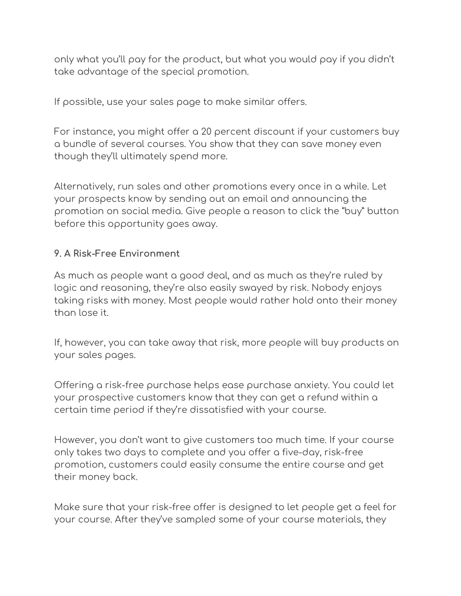only what you'll pay for the product, but what you would pay if you didn't take advantage of the special promotion.

If possible, use your sales page to make similar offers.

For instance, you might offer a 20 percent discount if your customers buy a bundle of several courses. You show that they can save money even though they'll ultimately spend more.

Alternatively, run sales and other promotions every once in a while. Let your prospects know by sending out an email and announcing the promotion on social media. Give people a reason to click the "buy" button before this opportunity goes away.

#### **9. A Risk-Free Environment**

As much as people want a good deal, and as much as they're ruled by logic and reasoning, they're also easily swayed by risk. Nobody enjoys taking risks with money. Most people would rather hold onto their money than lose it.

If, however, you can take away that risk, more people will buy products on your sales pages.

Offering a risk-free purchase helps ease purchase anxiety. You could let your prospective customers know that they can get a refund within a certain time period if they're dissatisfied with your course.

However, you don't want to give customers too much time. If your course only takes two days to complete and you offer a five-day, risk-free promotion, customers could easily consume the entire course and get their money back.

Make sure that your risk-free offer is designed to let people get a feel for your course. After they've sampled some of your course materials, they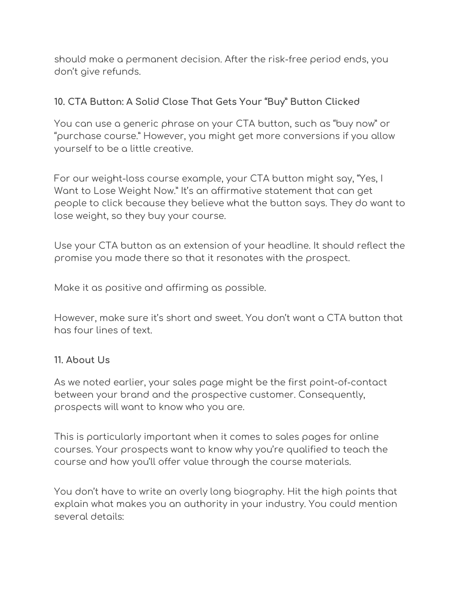should make a permanent decision. After the risk-free period ends, you don't give refunds.

## **10. CTA Button: A Solid Close That Gets Your "Buy" Button Clicked**

You can use a generic phrase on your CTA button, such as "buy now" or "purchase course." However, you might get more conversions if you allow yourself to be a little creative.

For our weight-loss course example, your CTA button might say, "Yes, I Want to Lose Weight Now." It's an affirmative statement that can get people to click because they believe what the button says. They do want to lose weight, so they buy your course.

Use your CTA button as an extension of your headline. It should reflect the promise you made there so that it resonates with the prospect.

Make it as positive and affirming as possible.

However, make sure it's short and sweet. You don't want a CTA button that has four lines of text.

#### **11. About Us**

As we noted earlier, your sales page might be the first point-of-contact between your brand and the prospective customer. Consequently, prospects will want to know who you are.

This is particularly important when it comes to sales pages for online courses. Your prospects want to know why you're qualified to teach the course and how you'll offer value through the course materials.

You don't have to write an overly long biography. Hit the high points that explain what makes you an authority in your industry. You could mention several details: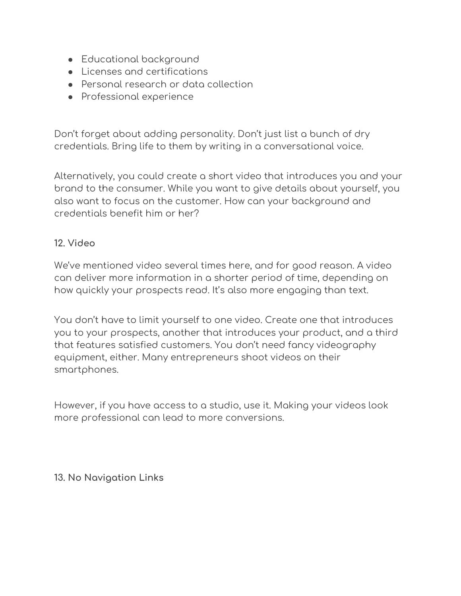- Educational background
- Licenses and certifications
- Personal research or data collection
- Professional experience

Don't forget about adding personality. Don't just list a bunch of dry credentials. Bring life to them by writing in a conversational voice.

Alternatively, you could create a short video that introduces you and your brand to the consumer. While you want to give details about yourself, you also want to focus on the customer. How can your background and credentials benefit him or her?

#### **12. Video**

We've mentioned video several times here, and for good reason. A video can deliver more information in a shorter period of time, depending on how quickly your prospects read. It's also more engaging than text.

You don't have to limit yourself to one video. Create one that introduces you to your prospects, another that introduces your product, and a third that features satisfied customers. You don't need fancy videography equipment, either. Many entrepreneurs shoot videos on their smartphones.

However, if you have access to a studio, use it. Making your videos look more professional can lead to more conversions.

**13. No Navigation Links**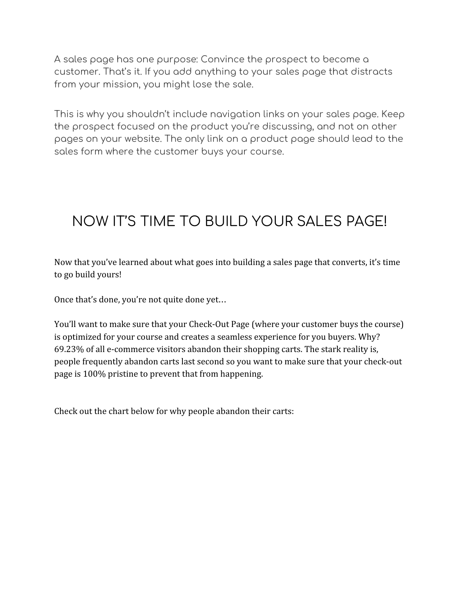A sales page has one purpose: Convince the prospect to become a customer. That's it. If you add anything to your sales page that distracts from your mission, you might lose the sale.

This is why you shouldn't include navigation links on your sales page. Keep the prospect focused on the product you're discussing, and not on other pages on your website. The only link on a product page should lead to the sales form where the customer buys your course.

# NOW IT'S TIME TO BUILD YOUR SALES PAGE!

Now that you've learned about what goes into building a sales page that converts, it's time to go build yours!

Once that's done, you're not quite done yet…

You'll want to make sure that your Check-Out Page (where your customer buys the course) is optimized for your course and creates a seamless experience for you buyers. Why? 69.23% of all e-commerce visitors abandon their shopping carts. The stark reality is, people frequently abandon carts last second so you want to make sure that your check-out page is 100% pristine to prevent that from happening.

Check out the chart below for why people abandon their carts: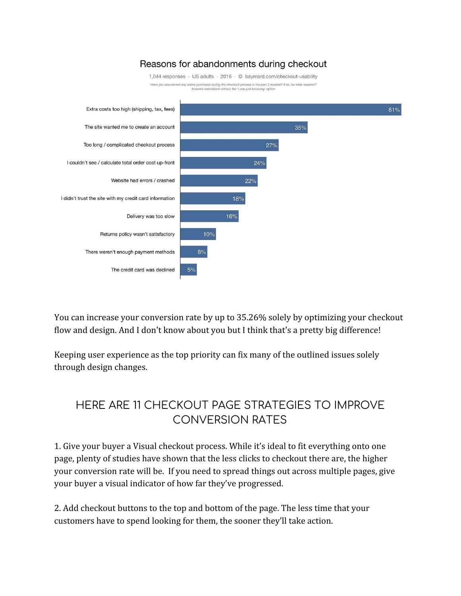#### Reasons for abandonments during checkout



You can increase your conversion rate by up to 35.26% solely by optimizing your checkout flow and design. And I don't know about you but I think that's a pretty big difference!

Keeping user experience as the top priority can fix many of the outlined issues solely through design changes.

# HERE ARE 11 CHECKOUT PAGE STRATEGIES TO IMPROVE CONVERSION RATES

1. Give your buyer a Visual checkout process. While it's ideal to fit everything onto one page, plenty of studies have shown that the less clicks to checkout there are, the higher your conversion rate will be. If you need to spread things out across multiple pages, give your buyer a visual indicator of how far they've progressed.

2. Add checkout buttons to the top and bottom of the page. The less time that your customers have to spend looking for them, the sooner they'll take action.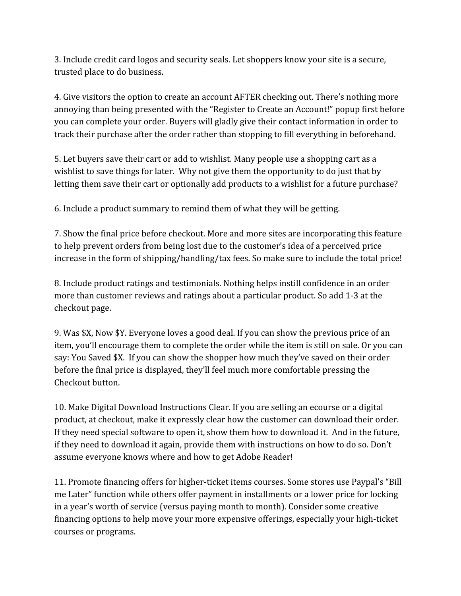3. Include credit card logos and security seals. Let shoppers know your site is a secure, trusted place to do business.

4. Give visitors the option to create an account AFTER checking out. There's nothing more annoying than being presented with the "Register to Create an Account!" popup first before you can complete your order. Buyers will gladly give their contact information in order to track their purchase after the order rather than stopping to fill everything in beforehand.

5. Let buyers save their cart or add to wishlist. Many people use a shopping cart as a wishlist to save things for later. Why not give them the opportunity to do just that by letting them save their cart or optionally add products to a wishlist for a future purchase?

6. Include a product summary to remind them of what they will be getting.

7. Show the final price before checkout. More and more sites are incorporating this feature to help prevent orders from being lost due to the customer's idea of a perceived price increase in the form of shipping/handling/tax fees. So make sure to include the total price!

8. Include product ratings and testimonials. Nothing helps instill confidence in an order more than customer reviews and ratings about a particular product. So add 1-3 at the checkout page.

9. Was \$X, Now \$Y. Everyone loves a good deal. If you can show the previous price of an item, you'll encourage them to complete the order while the item is still on sale. Or you can say: You Saved \$X. If you can show the shopper how much they've saved on their order before the final price is displayed, they'll feel much more comfortable pressing the Checkout button.

10. Make Digital Download Instructions Clear. If you are selling an ecourse or a digital product, at checkout, make it expressly clear how the customer can download their order. If they need special software to open it, show them how to download it. And in the future, if they need to download it again, provide them with instructions on how to do so. Don't assume everyone knows where and how to get Adobe Reader!

11. Promote financing offers for higher-ticket items courses. Some stores use Paypal's "Bill me Later" function while others offer payment in installments or a lower price for locking in a year's worth of service (versus paying month to month). Consider some creative financing options to help move your more expensive offerings, especially your high-ticket courses or programs.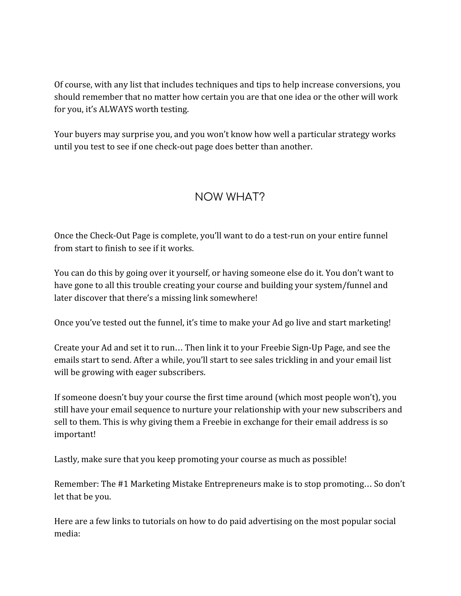Of course, with any list that includes techniques and tips to help increase conversions, you should remember that no matter how certain you are that one idea or the other will work for you, it's ALWAYS worth testing.

Your buyers may surprise you, and you won't know how well a particular strategy works until you test to see if one check-out page does better than another.

## NOW WHAT?

Once the Check-Out Page is complete, you'll want to do a test-run on your entire funnel from start to finish to see if it works.

You can do this by going over it yourself, or having someone else do it. You don't want to have gone to all this trouble creating your course and building your system/funnel and later discover that there's a missing link somewhere!

Once you've tested out the funnel, it's time to make your Ad go live and start marketing!

Create your Ad and set it to run… Then link it to your Freebie Sign-Up Page, and see the emails start to send. After a while, you'll start to see sales trickling in and your email list will be growing with eager subscribers.

If someone doesn't buy your course the first time around (which most people won't), you still have your email sequence to nurture your relationship with your new subscribers and sell to them. This is why giving them a Freebie in exchange for their email address is so important!

Lastly, make sure that you keep promoting your course as much as possible!

Remember: The #1 Marketing Mistake Entrepreneurs make is to stop promoting… So don't let that be you.

Here are a few links to tutorials on how to do paid advertising on the most popular social media: